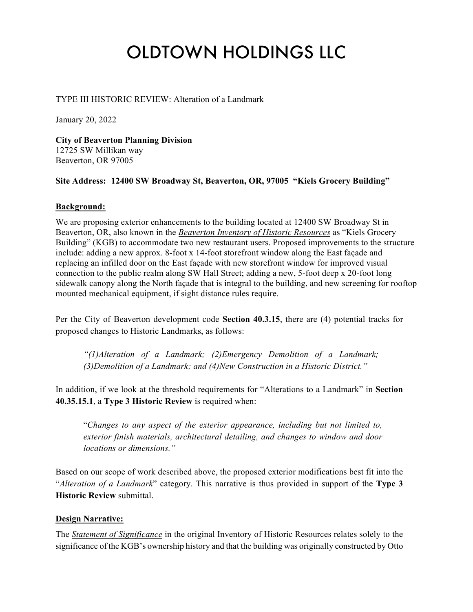# OLDTOWN HOLDINGS LLC

## TYPE III HISTORIC REVIEW: Alteration of a Landmark

January 20, 2022

**City of Beaverton Planning Division** 12725 SW Millikan way Beaverton, OR 97005

#### **Site Address: 12400 SW Broadway St, Beaverton, OR, 97005 "Kiels Grocery Building"**

#### **Background:**

We are proposing exterior enhancements to the building located at 12400 SW Broadway St in Beaverton, OR, also known in the *Beaverton Inventory of Historic Resources* as "Kiels Grocery Building" (KGB) to accommodate two new restaurant users. Proposed improvements to the structure include: adding a new approx. 8-foot x 14-foot storefront window along the East façade and replacing an infilled door on the East façade with new storefront window for improved visual connection to the public realm along SW Hall Street; adding a new, 5-foot deep x 20-foot long sidewalk canopy along the North façade that is integral to the building, and new screening for rooftop mounted mechanical equipment, if sight distance rules require.

Per the City of Beaverton development code **Section 40.3.15**, there are (4) potential tracks for proposed changes to Historic Landmarks, as follows:

*"(1)Alteration of a Landmark; (2)Emergency Demolition of a Landmark; (3)Demolition of a Landmark; and (4)New Construction in a Historic District."*

In addition, if we look at the threshold requirements for "Alterations to a Landmark" in **Section 40.35.15.1**, a **Type 3 Historic Review** is required when:

"*Changes to any aspect of the exterior appearance, including but not limited to, exterior finish materials, architectural detailing, and changes to window and door locations or dimensions."*

Based on our scope of work described above, the proposed exterior modifications best fit into the "*Alteration of a Landmark*" category. This narrative is thus provided in support of the **Type 3 Historic Review** submittal.

# **Design Narrative:**

The *Statement of Significance* in the original Inventory of Historic Resources relates solely to the significance of the KGB's ownership history and that the building was originally constructed by Otto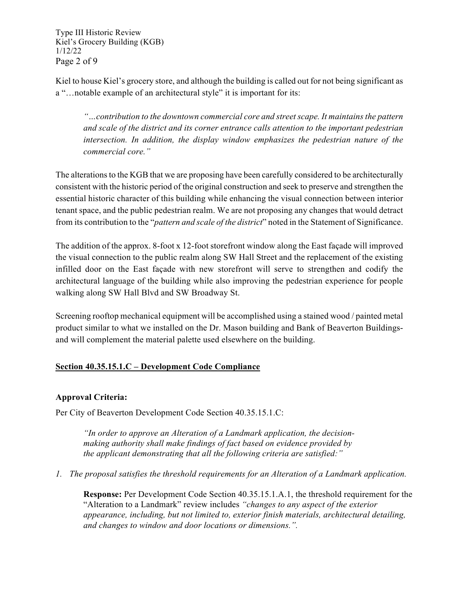Type III Historic Review Kiel's Grocery Building (KGB) 1/12/22 Page 2 of 9

Kiel to house Kiel's grocery store, and although the building is called out for not being significant as a "…notable example of an architectural style" it is important for its:

*"…contribution to the downtown commercial core and streetscape. It maintains the pattern and scale of the district and its corner entrance calls attention to the important pedestrian intersection. In addition, the display window emphasizes the pedestrian nature of the commercial core."*

The alterations to the KGB that we are proposing have been carefully considered to be architecturally consistent with the historic period of the original construction and seek to preserve and strengthen the essential historic character of this building while enhancing the visual connection between interior tenant space, and the public pedestrian realm. We are not proposing any changes that would detract from its contribution to the "*pattern and scale of the district*" noted in the Statement of Significance.

The addition of the approx. 8-foot x 12-foot storefront window along the East façade will improved the visual connection to the public realm along SW Hall Street and the replacement of the existing infilled door on the East façade with new storefront will serve to strengthen and codify the architectural language of the building while also improving the pedestrian experience for people walking along SW Hall Blvd and SW Broadway St.

Screening rooftop mechanical equipment will be accomplished using a stained wood / painted metal product similar to what we installed on the Dr. Mason building and Bank of Beaverton Buildingsand will complement the material palette used elsewhere on the building.

# **Section 40.35.15.1.C – Development Code Compliance**

# **Approval Criteria:**

Per City of Beaverton Development Code Section 40.35.15.1.C:

*"In order to approve an Alteration of a Landmark application, the decisionmaking authority shall make findings of fact based on evidence provided by the applicant demonstrating that all the following criteria are satisfied:"*

*1. The proposal satisfies the threshold requirements for an Alteration of a Landmark application.*

**Response:** Per Development Code Section 40.35.15.1.A.1, the threshold requirement for the "Alteration to a Landmark" review includes *"changes to any aspect of the exterior appearance, including, but not limited to, exterior finish materials, architectural detailing, and changes to window and door locations or dimensions.".*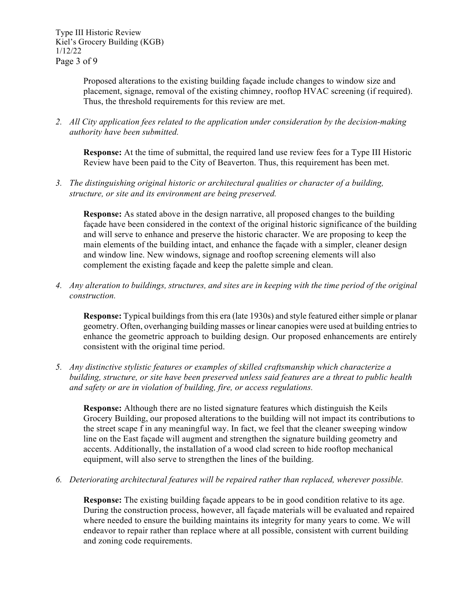Type III Historic Review Kiel's Grocery Building (KGB) 1/12/22 Page 3 of 9

> Proposed alterations to the existing building façade include changes to window size and placement, signage, removal of the existing chimney, rooftop HVAC screening (if required). Thus, the threshold requirements for this review are met.

*2. All City application fees related to the application under consideration by the decision-making authority have been submitted.*

**Response:** At the time of submittal, the required land use review fees for a Type III Historic Review have been paid to the City of Beaverton. Thus, this requirement has been met.

*3. The distinguishing original historic or architectural qualities or character of a building, structure, or site and its environment are being preserved.*

**Response:** As stated above in the design narrative, all proposed changes to the building façade have been considered in the context of the original historic significance of the building and will serve to enhance and preserve the historic character. We are proposing to keep the main elements of the building intact, and enhance the façade with a simpler, cleaner design and window line. New windows, signage and rooftop screening elements will also complement the existing façade and keep the palette simple and clean.

*4. Any alteration to buildings, structures, and sites are in keeping with the time period of the original construction.*

**Response:** Typical buildings from this era (late 1930s) and style featured either simple or planar geometry. Often, overhanging building masses or linear canopies were used at building entries to enhance the geometric approach to building design. Our proposed enhancements are entirely consistent with the original time period.

*5. Any distinctive stylistic features or examples of skilled craftsmanship which characterize a building, structure, or site have been preserved unless said features are a threat to public health and safety or are in violation of building, fire, or access regulations.*

**Response:** Although there are no listed signature features which distinguish the Keils Grocery Building, our proposed alterations to the building will not impact its contributions to the street scape f in any meaningful way. In fact, we feel that the cleaner sweeping window line on the East façade will augment and strengthen the signature building geometry and accents. Additionally, the installation of a wood clad screen to hide rooftop mechanical equipment, will also serve to strengthen the lines of the building.

*6. Deteriorating architectural features will be repaired rather than replaced, wherever possible.*

**Response:** The existing building façade appears to be in good condition relative to its age. During the construction process, however, all façade materials will be evaluated and repaired where needed to ensure the building maintains its integrity for many years to come. We will endeavor to repair rather than replace where at all possible, consistent with current building and zoning code requirements.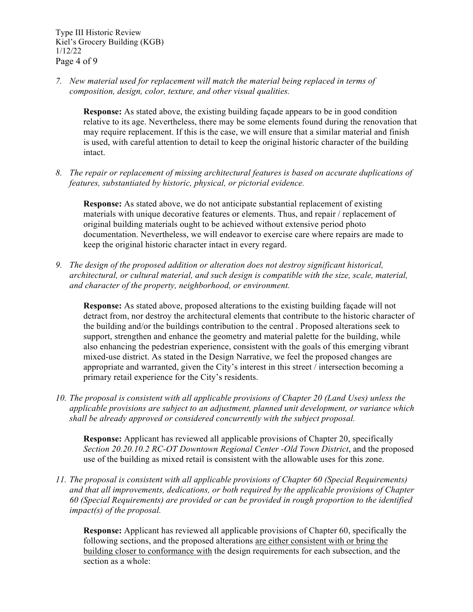*7. New material used for replacement will match the material being replaced in terms of composition, design, color, texture, and other visual qualities.*

**Response:** As stated above, the existing building façade appears to be in good condition relative to its age. Nevertheless, there may be some elements found during the renovation that may require replacement. If this is the case, we will ensure that a similar material and finish is used, with careful attention to detail to keep the original historic character of the building intact.

*8. The repair or replacement of missing architectural features is based on accurate duplications of features, substantiated by historic, physical, or pictorial evidence.*

**Response:** As stated above, we do not anticipate substantial replacement of existing materials with unique decorative features or elements. Thus, and repair / replacement of original building materials ought to be achieved without extensive period photo documentation. Nevertheless, we will endeavor to exercise care where repairs are made to keep the original historic character intact in every regard.

*9. The design of the proposed addition or alteration does not destroy significant historical, architectural, or cultural material, and such design is compatible with the size, scale, material, and character of the property, neighborhood, or environment.*

**Response:** As stated above, proposed alterations to the existing building façade will not detract from, nor destroy the architectural elements that contribute to the historic character of the building and/or the buildings contribution to the central . Proposed alterations seek to support, strengthen and enhance the geometry and material palette for the building, while also enhancing the pedestrian experience, consistent with the goals of this emerging vibrant mixed-use district. As stated in the Design Narrative, we feel the proposed changes are appropriate and warranted, given the City's interest in this street / intersection becoming a primary retail experience for the City's residents.

*10. The proposal is consistent with all applicable provisions of Chapter 20 (Land Uses) unless the applicable provisions are subject to an adjustment, planned unit development, or variance which shall be already approved or considered concurrently with the subject proposal.*

**Response:** Applicant has reviewed all applicable provisions of Chapter 20, specifically *Section 20.20.10.2 RC-OT Downtown Regional Center -Old Town District*, and the proposed use of the building as mixed retail is consistent with the allowable uses for this zone.

*11. The proposal is consistent with all applicable provisions of Chapter 60 (Special Requirements) and that all improvements, dedications, or both required by the applicable provisions of Chapter 60 (Special Requirements) are provided or can be provided in rough proportion to the identified impact(s) of the proposal.*

**Response:** Applicant has reviewed all applicable provisions of Chapter 60, specifically the following sections, and the proposed alterations are either consistent with or bring the building closer to conformance with the design requirements for each subsection, and the section as a whole: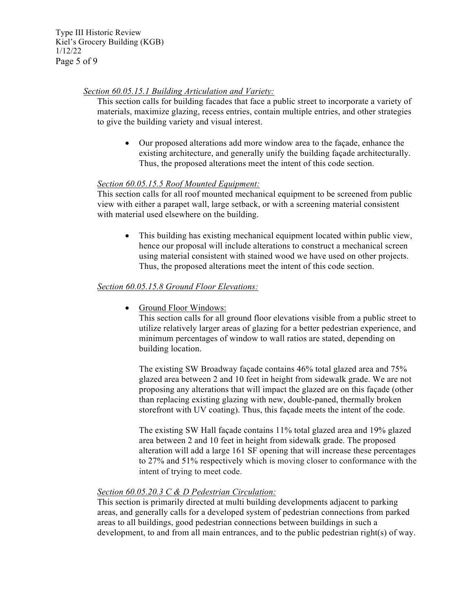Type III Historic Review Kiel's Grocery Building (KGB) 1/12/22 Page 5 of 9

## *Section 60.05.15.1 Building Articulation and Variety:*

This section calls for building facades that face a public street to incorporate a variety of materials, maximize glazing, recess entries, contain multiple entries, and other strategies to give the building variety and visual interest.

• Our proposed alterations add more window area to the façade, enhance the existing architecture, and generally unify the building façade architecturally. Thus, the proposed alterations meet the intent of this code section.

## *Section 60.05.15.5 Roof Mounted Equipment:*

This section calls for all roof mounted mechanical equipment to be screened from public view with either a parapet wall, large setback, or with a screening material consistent with material used elsewhere on the building.

• This building has existing mechanical equipment located within public view, hence our proposal will include alterations to construct a mechanical screen using material consistent with stained wood we have used on other projects. Thus, the proposed alterations meet the intent of this code section.

## *Section 60.05.15.8 Ground Floor Elevations:*

• Ground Floor Windows:

This section calls for all ground floor elevations visible from a public street to utilize relatively larger areas of glazing for a better pedestrian experience, and minimum percentages of window to wall ratios are stated, depending on building location.

The existing SW Broadway façade contains 46% total glazed area and 75% glazed area between 2 and 10 feet in height from sidewalk grade. We are not proposing any alterations that will impact the glazed are on this façade (other than replacing existing glazing with new, double-paned, thermally broken storefront with UV coating). Thus, this façade meets the intent of the code.

The existing SW Hall façade contains 11% total glazed area and 19% glazed area between 2 and 10 feet in height from sidewalk grade. The proposed alteration will add a large 161 SF opening that will increase these percentages to 27% and 51% respectively which is moving closer to conformance with the intent of trying to meet code.

#### *Section 60.05.20.3 C & D Pedestrian Circulation:*

This section is primarily directed at multi building developments adjacent to parking areas, and generally calls for a developed system of pedestrian connections from parked areas to all buildings, good pedestrian connections between buildings in such a development, to and from all main entrances, and to the public pedestrian right(s) of way.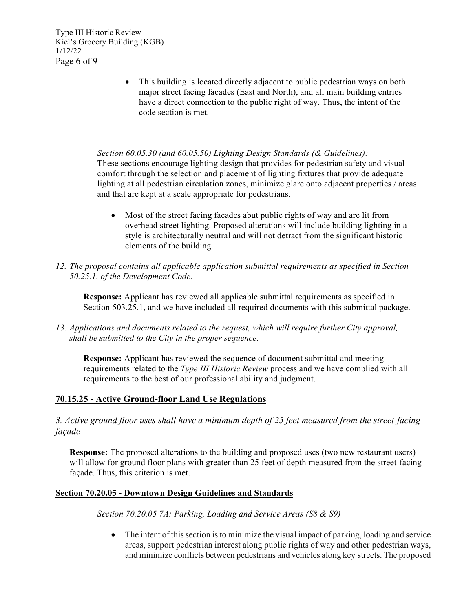Type III Historic Review Kiel's Grocery Building (KGB) 1/12/22 Page 6 of 9

> • This building is located directly adjacent to public pedestrian ways on both major street facing facades (East and North), and all main building entries have a direct connection to the public right of way. Thus, the intent of the code section is met.

## *Section 60.05.30 (and 60.05.50) Lighting Design Standards (& Guidelines):*

These sections encourage lighting design that provides for pedestrian safety and visual comfort through the selection and placement of lighting fixtures that provide adequate lighting at all pedestrian circulation zones, minimize glare onto adjacent properties / areas and that are kept at a scale appropriate for pedestrians.

- Most of the street facing facades abut public rights of way and are lit from overhead street lighting. Proposed alterations will include building lighting in a style is architecturally neutral and will not detract from the significant historic elements of the building.
- *12. The proposal contains all applicable application submittal requirements as specified in Section 50.25.1. of the Development Code.*

**Response:** Applicant has reviewed all applicable submittal requirements as specified in Section 503.25.1, and we have included all required documents with this submittal package.

*13. Applications and documents related to the request, which will require further City approval, shall be submitted to the City in the proper sequence.*

**Response:** Applicant has reviewed the sequence of document submittal and meeting requirements related to the *Type III Historic Review* process and we have complied with all requirements to the best of our professional ability and judgment.

# **70.15.25 - Active Ground-floor Land Use Regulations**

*3. Active ground floor uses shall have a minimum depth of 25 feet measured from the street-facing façade*

**Response:** The proposed alterations to the building and proposed uses (two new restaurant users) will allow for ground floor plans with greater than 25 feet of depth measured from the street-facing façade. Thus, this criterion is met.

# **Section 70.20.05 - Downtown Design Guidelines and Standards**

#### *Section 70.20.05 7A: Parking, Loading and Service Areas (S8 & S9)*

• The intent of this section is to minimize the visual impact of parking, loading and service areas, support pedestrian interest along public rights of way and other pedestrian ways, and minimize conflicts between pedestrians and vehicles along key streets. The proposed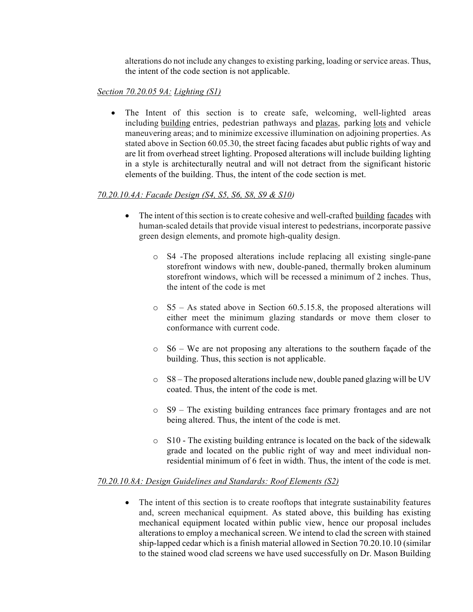alterations do not include any changes to existing parking, loading or service areas. Thus, the intent of the code section is not applicable.

# *Section 70.20.05 9A: Lighting (S1)*

• The Intent of this section is to create safe, welcoming, well-lighted areas including building entries, pedestrian pathways and plazas, parking lots and vehicle maneuvering areas; and to minimize excessive illumination on adjoining properties. As stated above in Section 60.05.30, the street facing facades abut public rights of way and are lit from overhead street lighting. Proposed alterations will include building lighting in a style is architecturally neutral and will not detract from the significant historic elements of the building. Thus, the intent of the code section is met.

# *70.20.10.4A: Facade Design (S4, S5, S6, S8, S9 & S10)*

- The intent of this section is to create cohesive and well-crafted building facades with human-scaled details that provide visual interest to pedestrians, incorporate passive green design elements, and promote high-quality design.
	- o S4 -The proposed alterations include replacing all existing single-pane storefront windows with new, double-paned, thermally broken aluminum storefront windows, which will be recessed a minimum of 2 inches. Thus, the intent of the code is met
	- o S5 As stated above in Section 60.5.15.8, the proposed alterations will either meet the minimum glazing standards or move them closer to conformance with current code.
	- o S6 We are not proposing any alterations to the southern façade of the building. Thus, this section is not applicable.
	- $\circ$  S8 The proposed alterations include new, double paned glazing will be UV coated. Thus, the intent of the code is met.
	- o S9 The existing building entrances face primary frontages and are not being altered. Thus, the intent of the code is met.
	- $\circ$  S10 The existing building entrance is located on the back of the sidewalk grade and located on the public right of way and meet individual nonresidential minimum of 6 feet in width. Thus, the intent of the code is met.

# *70.20.10.8A: Design Guidelines and Standards: Roof Elements (S2)*

• The intent of this section is to create rooftops that integrate sustainability features and, screen mechanical equipment. As stated above, this building has existing mechanical equipment located within public view, hence our proposal includes alterations to employ a mechanical screen. We intend to clad the screen with stained ship-lapped cedar which is a finish material allowed in Section 70.20.10.10 (similar to the stained wood clad screens we have used successfully on Dr. Mason Building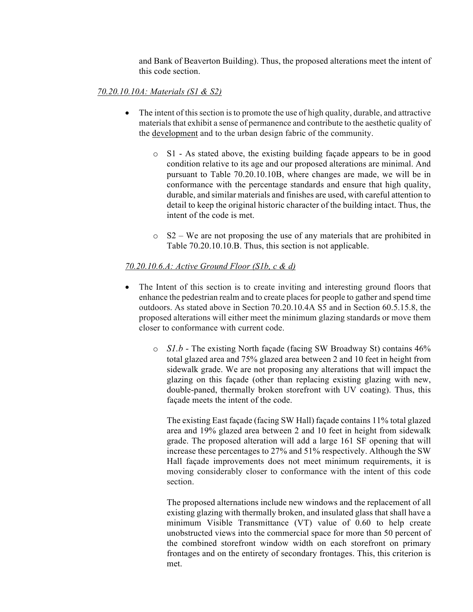and Bank of Beaverton Building). Thus, the proposed alterations meet the intent of this code section.

# *70.20.10.10A: Materials (S1 & S2)*

- The intent of this section is to promote the use of high quality, durable, and attractive materials that exhibit a sense of permanence and contribute to the aesthetic quality of the development and to the urban design fabric of the community.
	- o S1 As stated above, the existing building façade appears to be in good condition relative to its age and our proposed alterations are minimal. And pursuant to Table 70.20.10.10B, where changes are made, we will be in conformance with the percentage standards and ensure that high quality, durable, and similar materials and finishes are used, with careful attention to detail to keep the original historic character of the building intact. Thus, the intent of the code is met.
	- $\circ$  S2 We are not proposing the use of any materials that are prohibited in Table 70.20.10.10.B. Thus, this section is not applicable.

## *70.20.10.6.A: Active Ground Floor (S1b, c & d)*

- The Intent of this section is to create inviting and interesting ground floors that enhance the pedestrian realm and to create places for people to gather and spend time outdoors. As stated above in Section 70.20.10.4A S5 and in Section 60.5.15.8, the proposed alterations will either meet the minimum glazing standards or move them closer to conformance with current code.
	- o *S1.b -* The existing North façade (facing SW Broadway St) contains 46% total glazed area and 75% glazed area between 2 and 10 feet in height from sidewalk grade. We are not proposing any alterations that will impact the glazing on this façade (other than replacing existing glazing with new, double-paned, thermally broken storefront with UV coating). Thus, this façade meets the intent of the code.

The existing East façade (facing SW Hall) façade contains 11% total glazed area and 19% glazed area between 2 and 10 feet in height from sidewalk grade. The proposed alteration will add a large 161 SF opening that will increase these percentages to 27% and 51% respectively. Although the SW Hall façade improvements does not meet minimum requirements, it is moving considerably closer to conformance with the intent of this code section.

The proposed alternations include new windows and the replacement of all existing glazing with thermally broken, and insulated glass that shall have a minimum Visible Transmittance (VT) value of 0.60 to help create unobstructed views into the commercial space for more than 50 percent of the combined storefront window width on each storefront on primary frontages and on the entirety of secondary frontages. This, this criterion is met.